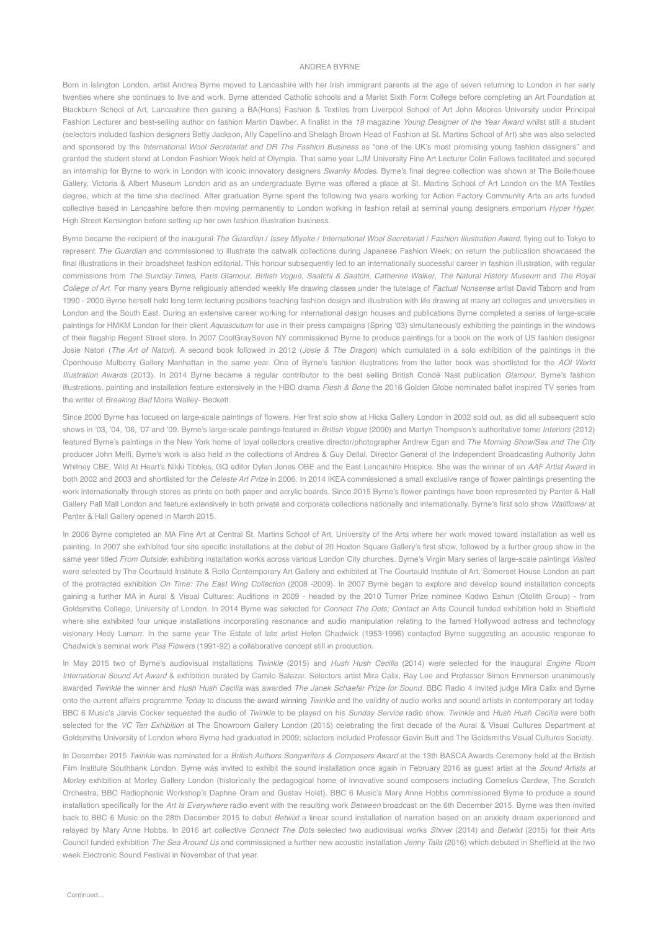## ANDREA BYRNE

Born in Islington London, artist Andrea Byrne moved to Lancashire with her Irish immigrant parents at the age of seven returning to London in her early twenties where she continues to live and work. Byrne attended Catholic schools and a Marist Sixth Form College before completing an Art Foundation at Blackburn School of Art, Lancashire then gaining a BA(Hons) Fashion & Textiles from Liverpool School of Art John Moores University under Principal Fashion Lecturer and best-selling author on fashion Martin Dawber. A finalist in the *19* magazine *Young Designer of the Year Award* whilst still a student (selectors included fashion designers Betty Jackson, Ally Capellino and Shelagh Brown Head of Fashion at St. Martins School of Art) she was also selected and sponsored by the *International Wool Secretariat and DR The Fashion Business* as "one of the UK's most promising young fashion designers" and granted the student stand at London Fashion Week held at Olympia. That same year LJM University Fine Art Lecturer Colin Fallows facilitated and secured an internship for Byrne to work in London with iconic innovatory designers *Swanky Modes*. Byrne's final degree collection was shown at The Boilerhouse Gallery, Victoria & Albert Museum London and as an undergraduate Byrne was offered a place at St. Martins School of Art London on the MA Textiles degree, which at the time she declined. After graduation Byrne spent the following two years working for Action Factory Community Arts an arts funded collective based in Lancashire before then moving permanently to London working in fashion retail at seminal young designers emporium *Hyper Hyper,* High Street Kensington before setting up her own fashion illustration business.

Byrne became the recipient of the inaugural *The Guardian / Issey Miyake / International Wool Secretariat / Fashion Illustration Award, flying out to Tokyo to* represent *The Guardian* and commissioned to illustrate the catwalk collections during Japanese Fashion Week; on return the publication showcased the final illustrations in their broadsheet fashion editorial. This honour subsequently led to an internationally successful career in fashion illustration, with regular commissions from *The Sunday Times*, *Paris Glamour*, *British Vogue*, *Saatchi & Saatchi*, *Catherine Walker*, *The Natural History Museum* and *The Royal College of Art.* For many years Byrne religiously attended weekly life drawing classes under the tutelage of *Factual Nonsense* artist David Taborn and from 1990 - 2000 Byrne herself held long term lecturing positions teaching fashion design and illustration with life drawing at many art colleges and universities in London and the South East. During an extensive career working for international design houses and publications Byrne completed a series of large-scale paintings for HMKM London for their client *Aquascutum* for use in their press campaigns (Spring '03) simultaneously exhibiting the paintings in the windows of their flagship Regent Street store. In 2007 CoolGraySeven NY commissioned Byrne to produce paintings for a book on the work of US fashion designer Josie Natori (*The Art of Natori*). A second book followed in 2012 (*Josie & The Dragon*) which cumulated in a solo exhibition of the paintings in the Openhouse Mulberry Gallery Manhattan in the same year. One of Byrne's fashion illustrations from the latter book was shortlisted for the *AOI World Illustration Awards* (2013). In 2014 Byrne became a regular contributor to the best selling British Condé Nast publication *Glamour*. Byrne's fashion illustrations, painting and installation feature extensively in the HBO drama *Flesh & Bone* the 2016 Golden Globe nominated ballet inspired TV series from the writer of *Breaking Bad* Moira Walley- Beckett.

Since 2000 Byrne has focused on large-scale paintings of flowers. Her first solo show at Hicks Gallery London in 2002 sold out, as did all subsequent solo shows in '03, '04, '06, '07 and '09. Byrne's large-scale paintings featured in *British Vogue* (2000) and Martyn Thompson's authoritative tome *Interiors* (2012) featured Byrne's paintings in the New York home of loyal collectors creative director/photographer Andrew Egan and *The Morning Show/Sex and The City* producer John Melfi. Byrne's work is also held in the collections of Andrea & Guy Dellal, Director General of the Independent Broadcasting Authority John Whitney CBE, Wild At Heart's Nikki Tibbles, GQ editor Dylan Jones OBE and the East Lancashire Hospice. She was the winner of an *AAF Artist Award* in both 2002 and 2003 and shortlisted for the *Celeste Art Prize* in 2006. In 2014 IKEA commissioned a small exclusive range of flower paintings presenting the work internationally through stores as prints on both paper and acrylic boards. Since 2015 Byrne's flower paintings have been represented by Panter & Hall Gallery Pall Mall London and feature extensively in both private and corporate collections nationally and internationally. Byrne's first solo show *Wallflower* at Panter & Hall Gallery opened in March 2015.

In 2006 Byrne completed an MA Fine Art at Central St. Martins School of Art, University of the Arts where her work moved toward installation as well as painting. In 2007 she exhibited four site specific installations at the debut of 20 Hoxton Square Gallery's first show, followed by a further group show in the same year titled *From Outside*; exhibiting installation works across various London City churches. Byrne's Virgin Mary series of large-scale paintings *Visited* were selected by The Courtauld Institute & Rollo Contemporary Art Gallery and exhibited at The Courtauld Institute of Art, Somerset House London as part of the protracted exhibition *On Time: The East Wing Collection* (2008 -2009). In 2007 Byrne began to explore and develop sound installation concepts gaining a further MA in Aural & Visual Cultures: Auditions in 2009 - headed by the 2010 Turner Prize nominee Kodwo Eshun (Otolith Group) - from Goldsmiths College, University of London. In 2014 Byrne was selected for *Connect The Dots; Contact* an Arts Council funded exhibition held in Sheffield where she exhibited four unique installations incorporating resonance and audio manipulation relating to the famed Hollywood actress and technology visionary Hedy Lamarr. In the same year The Estate of late artist Helen Chadwick (1953-1996) contacted Byrne suggesting an acoustic response to Chadwick's seminal work *Piss Flowers* (1991-92) a collaborative concept still in production.

In May 2015 two of Byrne's audiovisual installations *Twinkle* (2015) and *Hush Hush Cecilia* (2014) were selected for the inaugural *Engine Room International Sound Art Award* & exhibition curated by Camilo Salazar. Selectors artist Mira Calix, Ray Lee and Professor Simon Emmerson unanimously awarded *Twinkle* the winner and *Hush Hush Cecilia* was awarded *The Janek Schaefer Prize for Sound.* BBC Radio 4 invited judge Mira Calix and Byrne onto the current affairs programme *Today* to discuss the award winning *Twinkle* and the validity of audio works and sound artists in contemporary art today. BBC 6 Music's Jarvis Cocker requested the audio of *Twinkle* to be played on his *Sunday Service* radio show. *Twinkle* and *Hush Hush Cecilia* were both selected for the *VC Ten Exhibition* at The Showroom Gallery London (2015) celebrating the first decade of the Aural & Visual Cultures Department at Goldsmiths University of London where Byrne had graduated in 2009; selectors included Professor Gavin Butt and The Goldsmiths Visual Cultures Society.

In December 2015 *Twinkle* was nominated for a *British Authors Songwriters & Composers Award* at the 13th BASCA Awards Ceremony held at the British Film Institute Southbank London. Byrne was invited to exhibit the sound installation once again in February 2016 as guest artist at the *Sound Artists at Morley* exhibition at Morley Gallery London (historically the pedagogical home of innovative sound composers including Cornelius Cardew, The Scratch Orchestra, BBC Radiophonic Workshop's Daphne Oram and Gustav Holst). BBC 6 Music's Mary Anne Hobbs commissioned Byrne to produce a sound installation specifically for the *Art Is Everywhere* radio event with the resulting work *Between* broadcast on the 6th December 2015. Byrne was then invited back to BBC 6 Music on the 28th December 2015 to debut *Betwixt* a linear sound installation of narration based on an anxiety dream experienced and relayed by Mary Anne Hobbs. In 2016 art collective *Connect The Dots* selected two audiovisual works *Shiver* (2014) and *Betwixt* (2015) for their Arts Council funded exhibition *The Sea Around Us* and commissioned a further new acoustic installation *Jenny Tails* (2016) which debuted in Sheffield at the two week Electronic Sound Festival in November of that year.